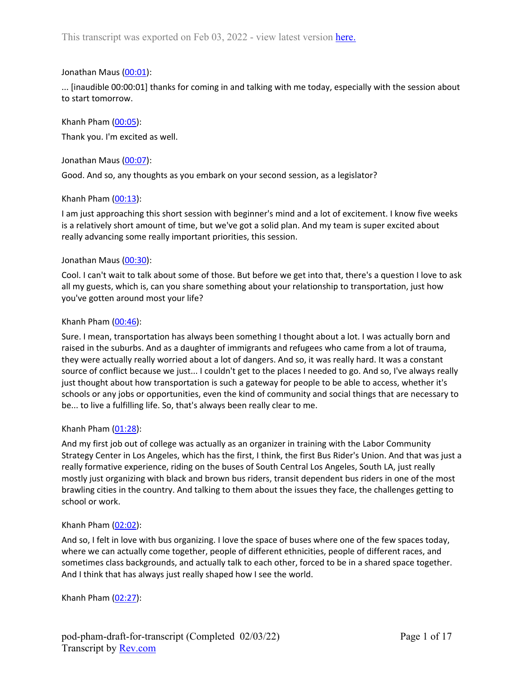## Jonathan Maus ([00:01](https://www.rev.com/transcript-editor/Edit?token=7hBrxQMbgqJGG4rTFo7GzFmxg38RJknk_I0xyNp2ZFCprDW-jDVPTkjr2TxKeexGM5YalnsWDr38L0Mx45-rb7EJreE&loadFrom=DocumentDeeplink&ts=1)):

... [inaudible 00:00:01] thanks for coming in and talking with me today, especially with the session about to start tomorrow.

Khanh Pham [\(00:05](https://www.rev.com/transcript-editor/Edit?token=8GOFTYQ0jOVbsy9JBL3iskvzlpB0_lW_FLKu7sJKAHrkCe7pY0_Qlt7fWS9KPZNoJVXHs4BQ9Si4FUUlmhOIXV9zoTA&loadFrom=DocumentDeeplink&ts=5.61)): Thank you. I'm excited as well.

Jonathan Maus ([00:07](https://www.rev.com/transcript-editor/Edit?token=m8XvhFCi0eYrJpDbuP1HKElZWnr-H9uJwncSbD47YIBbOpqcBtkQEIPRx9TJaSDmCBFP7emFkgG_dsRqKnl53-dWALQ&loadFrom=DocumentDeeplink&ts=7.49)):

Good. And so, any thoughts as you embark on your second session, as a legislator?

#### Khanh Pham [\(00:13](https://www.rev.com/transcript-editor/Edit?token=NTAQFOG6SD8z_7yNnqD_fDuLuOJ8V2gbXkU7tiatf5rYaXpX72kkh11ruDWGcuuEp4rO0UxIBftgEIzeh2EwWWsZX7s&loadFrom=DocumentDeeplink&ts=13.29)):

I am just approaching this short session with beginner's mind and a lot of excitement. I know five weeks is a relatively short amount of time, but we've got a solid plan. And my team is super excited about really advancing some really important priorities, this session.

#### Jonathan Maus ([00:30](https://www.rev.com/transcript-editor/Edit?token=SGGnDlqlJpetrvf8_Z46remBxH-G-U-DW4GLMi72cIpGYTC65goW4Z8ebPVb6SWc7kXGmYxbM3qPYo6q4QwetSDtPfw&loadFrom=DocumentDeeplink&ts=30.55)):

Cool. I can't wait to talk about some of those. But before we get into that, there's a question I love to ask all my guests, which is, can you share something about your relationship to transportation, just how you've gotten around most your life?

#### Khanh Pham  $(00:46)$  $(00:46)$ :

Sure. I mean, transportation has always been something I thought about a lot. I was actually born and raised in the suburbs. And as a daughter of immigrants and refugees who came from a lot of trauma, they were actually really worried about a lot of dangers. And so, it was really hard. It was a constant source of conflict because we just... I couldn't get to the places I needed to go. And so, I've always really just thought about how transportation is such a gateway for people to be able to access, whether it's schools or any jobs or opportunities, even the kind of community and social things that are necessary to be... to live a fulfilling life. So, that's always been really clear to me.

## Khanh Pham [\(01:28](https://www.rev.com/transcript-editor/Edit?token=f8gfPUbRZ9P3oBXIFFBMCqWOzajGju7zkau4l9vQ8mZibXX5rRSAEA_F0Kp8btLMMPZmfUvFFupOUsdHyPCuyyk1ygs&loadFrom=DocumentDeeplink&ts=88.46)):

And my first job out of college was actually as an organizer in training with the Labor Community Strategy Center in Los Angeles, which has the first, I think, the first Bus Rider's Union. And that was just a really formative experience, riding on the buses of South Central Los Angeles, South LA, just really mostly just organizing with black and brown bus riders, transit dependent bus riders in one of the most brawling cities in the country. And talking to them about the issues they face, the challenges getting to school or work.

#### Khanh Pham [\(02:02](https://www.rev.com/transcript-editor/Edit?token=NWUIUMO12q5ZZhPd9013Dhfn3ZsqTG2oj_SXy9Nw-6iDx6ybf20Nxm-81nSG2j1r-C7n5bfey6h5VPV0u7PtcA5lVvg&loadFrom=DocumentDeeplink&ts=122.16)):

And so, I felt in love with bus organizing. I love the space of buses where one of the few spaces today, where we can actually come together, people of different ethnicities, people of different races, and sometimes class backgrounds, and actually talk to each other, forced to be in a shared space together. And I think that has always just really shaped how I see the world.

Khanh Pham  $(02:27)$  $(02:27)$ :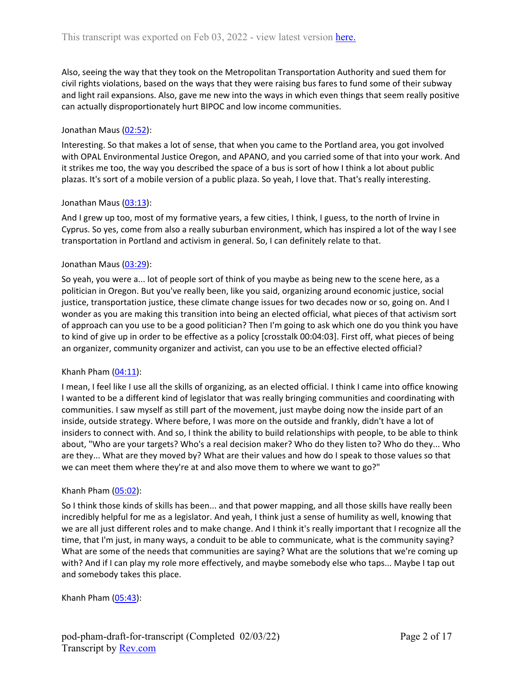Also, seeing the way that they took on the Metropolitan Transportation Authority and sued them for civil rights violations, based on the ways that they were raising bus fares to fund some of their subway and light rail expansions. Also, gave me new into the ways in which even things that seem really positive can actually disproportionately hurt BIPOC and low income communities.

## Jonathan Maus ([02:52](https://www.rev.com/transcript-editor/Edit?token=GFBL2vdy9OuMTPIE_bk266iXgkq_faWf9XPE4e1Rn8F4nTy-x4yZ8jBT2W_x6gFoKwf3MHZd0Obbcp8mba0q43vXHfs&loadFrom=DocumentDeeplink&ts=172.18)):

Interesting. So that makes a lot of sense, that when you came to the Portland area, you got involved with OPAL Environmental Justice Oregon, and APANO, and you carried some of that into your work. And it strikes me too, the way you described the space of a bus is sort of how I think a lot about public plazas. It's sort of a mobile version of a public plaza. So yeah, I love that. That's really interesting.

## Jonathan Maus ([03:13](https://www.rev.com/transcript-editor/Edit?token=C6mu-XNLzw-G6x-462qw8bYJwRmNyfbJ9Pt0BdwQ2WsywVfIyQae0QEy9-hWJoh74S_gi6OnGFvao4X-vvOQRh-zOhA&loadFrom=DocumentDeeplink&ts=193.26)):

And I grew up too, most of my formative years, a few cities, I think, I guess, to the north of Irvine in Cyprus. So yes, come from also a really suburban environment, which has inspired a lot of the way I see transportation in Portland and activism in general. So, I can definitely relate to that.

## Jonathan Maus ([03:29](https://www.rev.com/transcript-editor/Edit?token=xHqkqRZ0dbuY9NM6EqecJwl_XAz7n4P-vX0Uo6_80FFmwlrNB24K-OwtoeK9k3NDHxxJy2i_2ZQufR1nP7V7VpRr4YQ&loadFrom=DocumentDeeplink&ts=209.84)):

So yeah, you were a... lot of people sort of think of you maybe as being new to the scene here, as a politician in Oregon. But you've really been, like you said, organizing around economic justice, social justice, transportation justice, these climate change issues for two decades now or so, going on. And I wonder as you are making this transition into being an elected official, what pieces of that activism sort of approach can you use to be a good politician? Then I'm going to ask which one do you think you have to kind of give up in order to be effective as a policy [crosstalk 00:04:03]. First off, what pieces of being an organizer, community organizer and activist, can you use to be an effective elected official?

## Khanh Pham  $(04:11)$  $(04:11)$ :

I mean, I feel like I use all the skills of organizing, as an elected official. I think I came into office knowing I wanted to be a different kind of legislator that was really bringing communities and coordinating with communities. I saw myself as still part of the movement, just maybe doing now the inside part of an inside, outside strategy. Where before, I was more on the outside and frankly, didn't have a lot of insiders to connect with. And so, I think the ability to build relationships with people, to be able to think about, "Who are your targets? Who's a real decision maker? Who do they listen to? Who do they... Who are they... What are they moved by? What are their values and how do I speak to those values so that we can meet them where they're at and also move them to where we want to go?"

#### Khanh Pham [\(05:02](https://www.rev.com/transcript-editor/Edit?token=kDduGTAuTbCn9LVQtG3CZDFrGVS4mZqtqf-mOk0n5RnvgdCXbfHs068iv45lu_8SwE3hXi0yzsMmJ6WzE_LBJrEowQM&loadFrom=DocumentDeeplink&ts=302.97)):

So I think those kinds of skills has been... and that power mapping, and all those skills have really been incredibly helpful for me as a legislator. And yeah, I think just a sense of humility as well, knowing that we are all just different roles and to make change. And I think it's really important that I recognize all the time, that I'm just, in many ways, a conduit to be able to communicate, what is the community saying? What are some of the needs that communities are saying? What are the solutions that we're coming up with? And if I can play my role more effectively, and maybe somebody else who taps... Maybe I tap out and somebody takes this place.

## Khanh Pham  $(05:43)$  $(05:43)$ :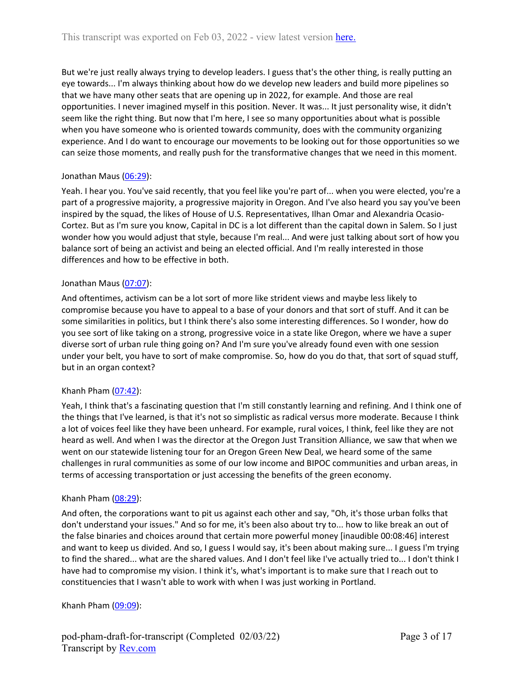But we're just really always trying to develop leaders. I guess that's the other thing, is really putting an eye towards... I'm always thinking about how do we develop new leaders and build more pipelines so that we have many other seats that are opening up in 2022, for example. And those are real opportunities. I never imagined myself in this position. Never. It was... It just personality wise, it didn't seem like the right thing. But now that I'm here, I see so many opportunities about what is possible when you have someone who is oriented towards community, does with the community organizing experience. And I do want to encourage our movements to be looking out for those opportunities so we can seize those moments, and really push for the transformative changes that we need in this moment.

## Jonathan Maus ([06:29](https://www.rev.com/transcript-editor/Edit?token=1AB9z7-nNBuTUiMWaQU1b7r0fA0QxAcVzaI_Qpag0Pm2nBmn4cxRe0eA3heqNRe74cRHeDBNcKZCenNXfGw5zCKVr7M&loadFrom=DocumentDeeplink&ts=389.96)):

Yeah. I hear you. You've said recently, that you feel like you're part of... when you were elected, you're a part of a progressive majority, a progressive majority in Oregon. And I've also heard you say you've been inspired by the squad, the likes of House of U.S. Representatives, Ilhan Omar and Alexandria Ocasio-Cortez. But as I'm sure you know, Capital in DC is a lot different than the capital down in Salem. So I just wonder how you would adjust that style, because I'm real... And were just talking about sort of how you balance sort of being an activist and being an elected official. And I'm really interested in those differences and how to be effective in both.

## Jonathan Maus ([07:07](https://www.rev.com/transcript-editor/Edit?token=V1IF1WaLOIsT6Hlt62N9AVqBlXtvBIx55Lf28HhHY5abAO8mRf8NCN7093KEZu-lCaQ0wtKVx9ZdTExfMtTjdVsRvNA&loadFrom=DocumentDeeplink&ts=427.51)):

And oftentimes, activism can be a lot sort of more like strident views and maybe less likely to compromise because you have to appeal to a base of your donors and that sort of stuff. And it can be some similarities in politics, but I think there's also some interesting differences. So I wonder, how do you see sort of like taking on a strong, progressive voice in a state like Oregon, where we have a super diverse sort of urban rule thing going on? And I'm sure you've already found even with one session under your belt, you have to sort of make compromise. So, how do you do that, that sort of squad stuff, but in an organ context?

## Khanh Pham  $(07:42)$  $(07:42)$ :

Yeah, I think that's a fascinating question that I'm still constantly learning and refining. And I think one of the things that I've learned, is that it's not so simplistic as radical versus more moderate. Because I think a lot of voices feel like they have been unheard. For example, rural voices, I think, feel like they are not heard as well. And when I was the director at the Oregon Just Transition Alliance, we saw that when we went on our statewide listening tour for an Oregon Green New Deal, we heard some of the same challenges in rural communities as some of our low income and BIPOC communities and urban areas, in terms of accessing transportation or just accessing the benefits of the green economy.

## Khanh Pham  $(08:29)$  $(08:29)$ :

And often, the corporations want to pit us against each other and say, "Oh, it's those urban folks that don't understand your issues." And so for me, it's been also about try to... how to like break an out of the false binaries and choices around that certain more powerful money [inaudible 00:08:46] interest and want to keep us divided. And so, I guess I would say, it's been about making sure... I guess I'm trying to find the shared... what are the shared values. And I don't feel like I've actually tried to... I don't think I have had to compromise my vision. I think it's, what's important is to make sure that I reach out to constituencies that I wasn't able to work with when I was just working in Portland.

Khanh Pham  $(09:09)$  $(09:09)$ :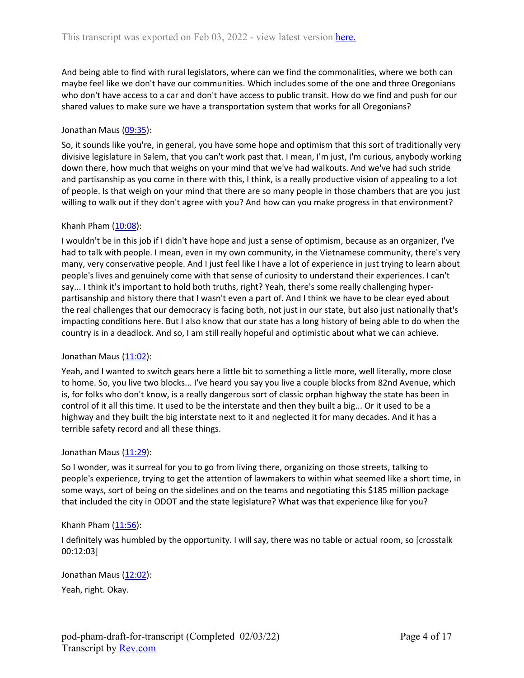And being able to find with rural legislators, where can we find the commonalities, where we both can maybe feel like we don't have our communities. Which includes some of the one and three Oregonians who don't have access to a car and don't have access to public transit. How do we find and push for our shared values to make sure we have a transportation system that works for all Oregonians?

## Jonathan Maus ([09:35](https://www.rev.com/transcript-editor/Edit?token=ZWrpnh8NBu-qUvqV796iTdzds8MpD7RjIGgQhpB9AsSsFg7zDUzOZYsOXa2pacqJsYZBu4MG-8WsMTCZ344AuvunlP4&loadFrom=DocumentDeeplink&ts=575.62)):

So, it sounds like you're, in general, you have some hope and optimism that this sort of traditionally very divisive legislature in Salem, that you can't work past that. I mean, I'm just, I'm curious, anybody working down there, how much that weighs on your mind that we've had walkouts. And we've had such stride and partisanship as you come in there with this, I think, is a really productive vision of appealing to a lot of people. Is that weigh on your mind that there are so many people in those chambers that are you just willing to walk out if they don't agree with you? And how can you make progress in that environment?

## Khanh Pham  $(10:08)$  $(10:08)$ :

I wouldn't be in this job if I didn't have hope and just a sense of optimism, because as an organizer, I've had to talk with people. I mean, even in my own community, in the Vietnamese community, there's very many, very conservative people. And I just feel like I have a lot of experience in just trying to learn about people's lives and genuinely come with that sense of curiosity to understand their experiences. I can't say... I think it's important to hold both truths, right? Yeah, there's some really challenging hyperpartisanship and history there that I wasn't even a part of. And I think we have to be clear eyed about the real challenges that our democracy is facing both, not just in our state, but also just nationally that's impacting conditions here. But I also know that our state has a long history of being able to do when the country is in a deadlock. And so, I am still really hopeful and optimistic about what we can achieve.

## Jonathan Maus ([11:02](https://www.rev.com/transcript-editor/Edit?token=sT8Jy9Mu8D2i4F4D7pia0mFLbemVqDoUqWspxxeQLxZlvt_-n9-m9z3I1DBLPD6Nwu8CF0RGWpGzlDbUIIU72LkcLho&loadFrom=DocumentDeeplink&ts=662.38)):

Yeah, and I wanted to switch gears here a little bit to something a little more, well literally, more close to home. So, you live two blocks... I've heard you say you live a couple blocks from 82nd Avenue, which is, for folks who don't know, is a really dangerous sort of classic orphan highway the state has been in control of it all this time. It used to be the interstate and then they built a big... Or it used to be a highway and they built the big interstate next to it and neglected it for many decades. And it has a terrible safety record and all these things.

## Jonathan Maus ([11:29](https://www.rev.com/transcript-editor/Edit?token=gYkwetVEP_Km9LYpL30r_K9pYzziZHScCqk14WnlmaKC1mF0IZEPCe5YLETRn3M1d6PXZ_Tecw2kAmU1IBj8LcCs27E&loadFrom=DocumentDeeplink&ts=689.37)):

So I wonder, was it surreal for you to go from living there, organizing on those streets, talking to people's experience, trying to get the attention of lawmakers to within what seemed like a short time, in some ways, sort of being on the sidelines and on the teams and negotiating this \$185 million package that included the city in ODOT and the state legislature? What was that experience like for you?

## Khanh Pham  $(11:56)$  $(11:56)$ :

I definitely was humbled by the opportunity. I will say, there was no table or actual room, so [crosstalk 00:12:03]

Jonathan Maus ([12:02](https://www.rev.com/transcript-editor/Edit?token=BQRpH8M3v-fm6cX14fF97vYRvBpVK6Y36xQrDsxLmVEhQOy3-eCJdnMVG3pdnt3FhWkiArVdwWs3DV6MoojEq6iQka8&loadFrom=DocumentDeeplink&ts=722.59)): Yeah, right. Okay.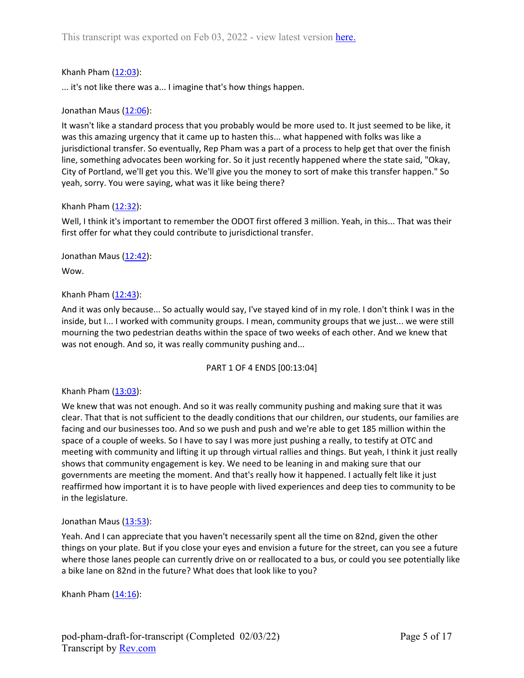## Khanh Pham [\(12:03](https://www.rev.com/transcript-editor/Edit?token=iTMUhKsZhSNQLPbFuHtdsrFYiDFmGj_Dh6_r3FR74u4BR1thZyRjgYFaD0q__TdTogpWfBjOMBKLs9vVlv8rgsVWcCE&loadFrom=DocumentDeeplink&ts=723.22)):

... it's not like there was a... I imagine that's how things happen.

## Jonathan Maus ([12:06](https://www.rev.com/transcript-editor/Edit?token=urtOdGpGFyeEdS5L_zpQ2YyV46_q47W5iG1eUyzkhLOM-LTDpzGhwM9_vShnlRa-WBpuX9zvxkrOCyeDkt78fJ3J4n4&loadFrom=DocumentDeeplink&ts=726.29)):

It wasn't like a standard process that you probably would be more used to. It just seemed to be like, it was this amazing urgency that it came up to hasten this... what happened with folks was like a jurisdictional transfer. So eventually, Rep Pham was a part of a process to help get that over the finish line, something advocates been working for. So it just recently happened where the state said, "Okay, City of Portland, we'll get you this. We'll give you the money to sort of make this transfer happen." So yeah, sorry. You were saying, what was it like being there?

## Khanh Pham [\(12:32](https://www.rev.com/transcript-editor/Edit?token=b3vaVygeW7yxOc9JICMrE3AOOXPHpaX4n8bBqq650kW9WTuBHRMKMH8IC18rhRezkywa1ZJTCihU_WJbJLz-Fd4w-yQ&loadFrom=DocumentDeeplink&ts=752.07)):

Well, I think it's important to remember the ODOT first offered 3 million. Yeah, in this... That was their first offer for what they could contribute to jurisdictional transfer.

Jonathan Maus  $(12:42)$  $(12:42)$  $(12:42)$ : Wow.

## Khanh Pham  $(12:43)$  $(12:43)$ :

And it was only because... So actually would say, I've stayed kind of in my role. I don't think I was in the inside, but I... I worked with community groups. I mean, community groups that we just... we were still mourning the two pedestrian deaths within the space of two weeks of each other. And we knew that was not enough. And so, it was really community pushing and...

## PART 1 OF 4 ENDS [00:13:04]

## Khanh Pham [\(13:03](https://www.rev.com/transcript-editor/Edit?token=MAWv-UXAX4Ko5ZK_huBvO_aKMYcbiTl0W4ipgJ2N_3D6eerLqfuqjbWWY6ttXB9nAwQmSTbijjIXNfjlnwow29gGgSU&loadFrom=DocumentDeeplink&ts=783.67)):

We knew that was not enough. And so it was really community pushing and making sure that it was clear. That that is not sufficient to the deadly conditions that our children, our students, our families are facing and our businesses too. And so we push and push and we're able to get 185 million within the space of a couple of weeks. So I have to say I was more just pushing a really, to testify at OTC and meeting with community and lifting it up through virtual rallies and things. But yeah, I think it just really shows that community engagement is key. We need to be leaning in and making sure that our governments are meeting the moment. And that's really how it happened. I actually felt like it just reaffirmed how important it is to have people with lived experiences and deep ties to community to be in the legislature.

## Jonathan Maus ([13:53](https://www.rev.com/transcript-editor/Edit?token=_ULRXOQbm3Ld1MguRSys1aMxajcZuPoRI7cImeHqXx5PBSTddAqp2hqZuUJ6jUnCRJY7yxiUUKQx8Wv8MmpxG8rC4mU&loadFrom=DocumentDeeplink&ts=833.2)):

Yeah. And I can appreciate that you haven't necessarily spent all the time on 82nd, given the other things on your plate. But if you close your eyes and envision a future for the street, can you see a future where those lanes people can currently drive on or reallocated to a bus, or could you see potentially like a bike lane on 82nd in the future? What does that look like to you?

Khanh Pham  $(14:16)$  $(14:16)$ :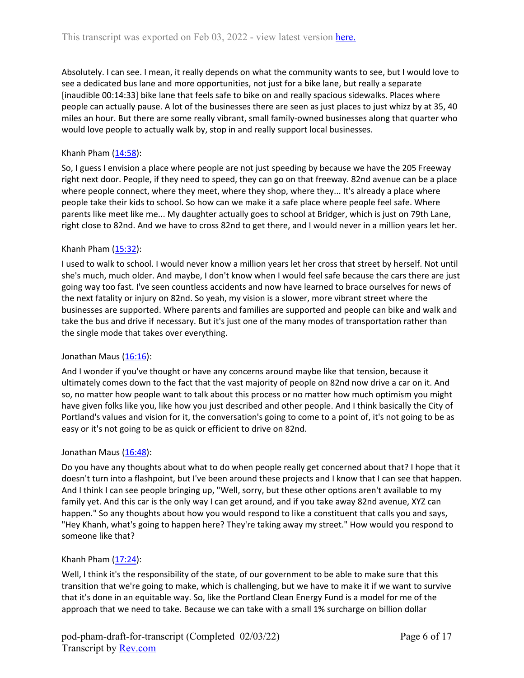Absolutely. I can see. I mean, it really depends on what the community wants to see, but I would love to see a dedicated bus lane and more opportunities, not just for a bike lane, but really a separate [inaudible 00:14:33] bike lane that feels safe to bike on and really spacious sidewalks. Places where people can actually pause. A lot of the businesses there are seen as just places to just whizz by at 35, 40 miles an hour. But there are some really vibrant, small family-owned businesses along that quarter who would love people to actually walk by, stop in and really support local businesses.

# Khanh Pham  $(14:58)$  $(14:58)$ :

So, I guess I envision a place where people are not just speeding by because we have the 205 Freeway right next door. People, if they need to speed, they can go on that freeway. 82nd avenue can be a place where people connect, where they meet, where they shop, where they... It's already a place where people take their kids to school. So how can we make it a safe place where people feel safe. Where parents like meet like me... My daughter actually goes to school at Bridger, which is just on 79th Lane, right close to 82nd. And we have to cross 82nd to get there, and I would never in a million years let her.

## Khanh Pham  $(15:32)$  $(15:32)$ :

I used to walk to school. I would never know a million years let her cross that street by herself. Not until she's much, much older. And maybe, I don't know when I would feel safe because the cars there are just going way too fast. I've seen countless accidents and now have learned to brace ourselves for news of the next fatality or injury on 82nd. So yeah, my vision is a slower, more vibrant street where the businesses are supported. Where parents and families are supported and people can bike and walk and take the bus and drive if necessary. But it's just one of the many modes of transportation rather than the single mode that takes over everything.

## Jonathan Maus ([16:16](https://www.rev.com/transcript-editor/Edit?token=RoaHCfJZOJ7GPcga_vgUEJkEfCmR6Yx_ux-nswGKW4n3E_QrNbcXpNLG-C1Y_pkZAWEZaQcMuSqpIyw36QYEpPm996w&loadFrom=DocumentDeeplink&ts=976.72)):

And I wonder if you've thought or have any concerns around maybe like that tension, because it ultimately comes down to the fact that the vast majority of people on 82nd now drive a car on it. And so, no matter how people want to talk about this process or no matter how much optimism you might have given folks like you, like how you just described and other people. And I think basically the City of Portland's values and vision for it, the conversation's going to come to a point of, it's not going to be as easy or it's not going to be as quick or efficient to drive on 82nd.

## Jonathan Maus ([16:48](https://www.rev.com/transcript-editor/Edit?token=PLxze0mLkqnt-oEpoHiRZhlFgVfplhiQNXwBRm_iaC_MS6extbJHINzfv5EsI_5wlfQ-5g-SDtJNvuRFPwKIJx2eXwQ&loadFrom=DocumentDeeplink&ts=1008.15)):

Do you have any thoughts about what to do when people really get concerned about that? I hope that it doesn't turn into a flashpoint, but I've been around these projects and I know that I can see that happen. And I think I can see people bringing up, "Well, sorry, but these other options aren't available to my family yet. And this car is the only way I can get around, and if you take away 82nd avenue, XYZ can happen." So any thoughts about how you would respond to like a constituent that calls you and says, "Hey Khanh, what's going to happen here? They're taking away my street." How would you respond to someone like that?

## Khanh Pham [\(17:24](https://www.rev.com/transcript-editor/Edit?token=YdgD46uZuo3ZgiWXnaiIxgOydzggf3xi4TYDvQIdfopOMv3bbQ-YZ3-A0cxeMRlK7oMI8PnvCpQaDXS5rdIJkYkdUCE&loadFrom=DocumentDeeplink&ts=1044.09)):

Well, I think it's the responsibility of the state, of our government to be able to make sure that this transition that we're going to make, which is challenging, but we have to make it if we want to survive that it's done in an equitable way. So, like the Portland Clean Energy Fund is a model for me of the approach that we need to take. Because we can take with a small 1% surcharge on billion dollar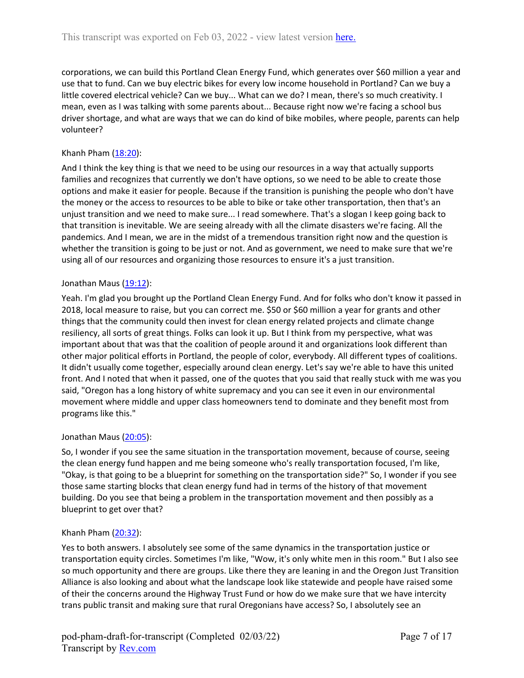corporations, we can build this Portland Clean Energy Fund, which generates over \$60 million a year and use that to fund. Can we buy electric bikes for every low income household in Portland? Can we buy a little covered electrical vehicle? Can we buy... What can we do? I mean, there's so much creativity. I mean, even as I was talking with some parents about... Because right now we're facing a school bus driver shortage, and what are ways that we can do kind of bike mobiles, where people, parents can help volunteer?

## Khanh Pham [\(18:20](https://www.rev.com/transcript-editor/Edit?token=4bJA4swPCX1DcPWfcyOmKtjkjJlTpxIW3uhTz9y7T69uzj_VLx1yepQt7fXVNcWJp1d_Y1Tp3_cwg1PyytYWSAlE54s&loadFrom=DocumentDeeplink&ts=1100.62)):

And I think the key thing is that we need to be using our resources in a way that actually supports families and recognizes that currently we don't have options, so we need to be able to create those options and make it easier for people. Because if the transition is punishing the people who don't have the money or the access to resources to be able to bike or take other transportation, then that's an unjust transition and we need to make sure... I read somewhere. That's a slogan I keep going back to that transition is inevitable. We are seeing already with all the climate disasters we're facing. All the pandemics. And I mean, we are in the midst of a tremendous transition right now and the question is whether the transition is going to be just or not. And as government, we need to make sure that we're using all of our resources and organizing those resources to ensure it's a just transition.

## Jonathan Maus ([19:12](https://www.rev.com/transcript-editor/Edit?token=CRx484IKY-PYRi2Nm-Dx22JV1bgGZDyyF8etRgy4DDaARkxx0DHU0VXl1fcdfgMKtvmrH86XHlAraa0CIok90mJ-1P0&loadFrom=DocumentDeeplink&ts=1152.06)):

Yeah. I'm glad you brought up the Portland Clean Energy Fund. And for folks who don't know it passed in 2018, local measure to raise, but you can correct me. \$50 or \$60 million a year for grants and other things that the community could then invest for clean energy related projects and climate change resiliency, all sorts of great things. Folks can look it up. But I think from my perspective, what was important about that was that the coalition of people around it and organizations look different than other major political efforts in Portland, the people of color, everybody. All different types of coalitions. It didn't usually come together, especially around clean energy. Let's say we're able to have this united front. And I noted that when it passed, one of the quotes that you said that really stuck with me was you said, "Oregon has a long history of white supremacy and you can see it even in our environmental movement where middle and upper class homeowners tend to dominate and they benefit most from programs like this."

## Jonathan Maus ([20:05](https://www.rev.com/transcript-editor/Edit?token=o_BSQBJEU556bjb261m3BNp8pH91cjScCDv2GFKZEHtgl3Xyv-QiBos1bq8Ve4R9dnHIhf9T7VllTGq0yVYjcDAb2aA&loadFrom=DocumentDeeplink&ts=1205.05)):

So, I wonder if you see the same situation in the transportation movement, because of course, seeing the clean energy fund happen and me being someone who's really transportation focused, I'm like, "Okay, is that going to be a blueprint for something on the transportation side?" So, I wonder if you see those same starting blocks that clean energy fund had in terms of the history of that movement building. Do you see that being a problem in the transportation movement and then possibly as a blueprint to get over that?

## Khanh Pham [\(20:32](https://www.rev.com/transcript-editor/Edit?token=J4jQf7ki8CCz7KP56xB_iOu7ljhZOdTsdTEHyJDSoq4HhmROmPs45mIkR5tJuMA1EvkeMQg1ntvNCKqEWbchyEJT5WA&loadFrom=DocumentDeeplink&ts=1232.55)):

Yes to both answers. I absolutely see some of the same dynamics in the transportation justice or transportation equity circles. Sometimes I'm like, "Wow, it's only white men in this room." But I also see so much opportunity and there are groups. Like there they are leaning in and the Oregon Just Transition Alliance is also looking and about what the landscape look like statewide and people have raised some of their the concerns around the Highway Trust Fund or how do we make sure that we have intercity trans public transit and making sure that rural Oregonians have access? So, I absolutely see an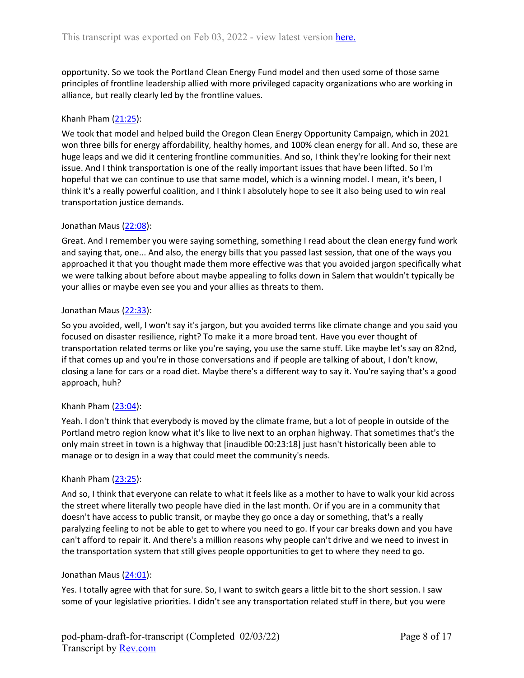opportunity. So we took the Portland Clean Energy Fund model and then used some of those same principles of frontline leadership allied with more privileged capacity organizations who are working in alliance, but really clearly led by the frontline values.

## Khanh Pham [\(21:25](https://www.rev.com/transcript-editor/Edit?token=I7M3geJq63L8IrhmGn00Ziu0NodexrkAhXn9zmtgPNcsyauJErdN5CuhfdWpXpaHlIbzHpP87nvinVbWcCz7jyDm4Yo&loadFrom=DocumentDeeplink&ts=1285.79)):

We took that model and helped build the Oregon Clean Energy Opportunity Campaign, which in 2021 won three bills for energy affordability, healthy homes, and 100% clean energy for all. And so, these are huge leaps and we did it centering frontline communities. And so, I think they're looking for their next issue. And I think transportation is one of the really important issues that have been lifted. So I'm hopeful that we can continue to use that same model, which is a winning model. I mean, it's been, I think it's a really powerful coalition, and I think I absolutely hope to see it also being used to win real transportation justice demands.

#### Jonathan Maus ([22:08](https://www.rev.com/transcript-editor/Edit?token=EZUANQOd_AJSs4wyz_mgjg1LgktHG4FRnuKhbDi6edPLGNhnAjMoe143baJJmTTMC7heYpK3v-JHluZECwLen3MRXyQ&loadFrom=DocumentDeeplink&ts=1328.83)):

Great. And I remember you were saying something, something I read about the clean energy fund work and saying that, one... And also, the energy bills that you passed last session, that one of the ways you approached it that you thought made them more effective was that you avoided jargon specifically what we were talking about before about maybe appealing to folks down in Salem that wouldn't typically be your allies or maybe even see you and your allies as threats to them.

#### Jonathan Maus ([22:33](https://www.rev.com/transcript-editor/Edit?token=M_B4K7CBq6i8VtdnIydz6CAss70dJMEIFxKmm0zMqF-gEKAzKJN4ar9SRpV1Na5XTJfDkP2nTtc95R63tUz-pLc7C4c&loadFrom=DocumentDeeplink&ts=1353.77)):

So you avoided, well, I won't say it's jargon, but you avoided terms like climate change and you said you focused on disaster resilience, right? To make it a more broad tent. Have you ever thought of transportation related terms or like you're saying, you use the same stuff. Like maybe let's say on 82nd, if that comes up and you're in those conversations and if people are talking of about, I don't know, closing a lane for cars or a road diet. Maybe there's a different way to say it. You're saying that's a good approach, huh?

## Khanh Pham  $(23:04)$  $(23:04)$ :

Yeah. I don't think that everybody is moved by the climate frame, but a lot of people in outside of the Portland metro region know what it's like to live next to an orphan highway. That sometimes that's the only main street in town is a highway that [inaudible 00:23:18] just hasn't historically been able to manage or to design in a way that could meet the community's needs.

#### Khanh Pham  $(23:25)$  $(23:25)$ :

And so, I think that everyone can relate to what it feels like as a mother to have to walk your kid across the street where literally two people have died in the last month. Or if you are in a community that doesn't have access to public transit, or maybe they go once a day or something, that's a really paralyzing feeling to not be able to get to where you need to go. If your car breaks down and you have can't afford to repair it. And there's a million reasons why people can't drive and we need to invest in the transportation system that still gives people opportunities to get to where they need to go.

#### Jonathan Maus ([24:01](https://www.rev.com/transcript-editor/Edit?token=JsYrOmIwyaI91YSEQm-4au3QmrAx0o0GfeLtwMzyNOlbxXv_vCGhnIlkq7E2qXi6Wfrja-N48KWaQSvU09G1SeqgbWY&loadFrom=DocumentDeeplink&ts=1441.77)):

Yes. I totally agree with that for sure. So, I want to switch gears a little bit to the short session. I saw some of your legislative priorities. I didn't see any transportation related stuff in there, but you were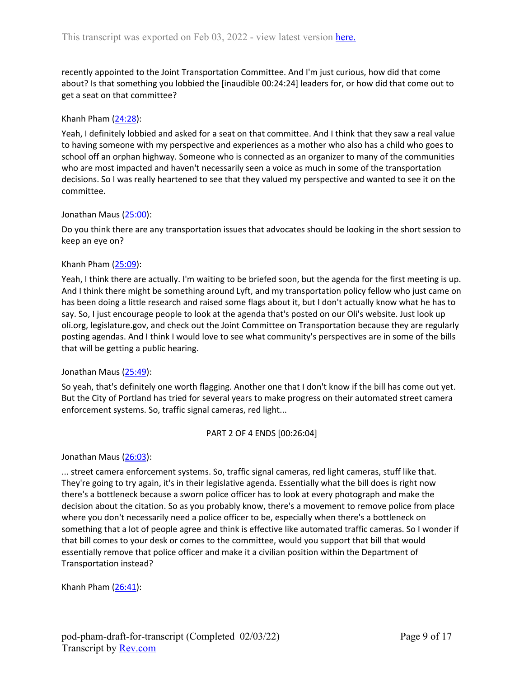recently appointed to the Joint Transportation Committee. And I'm just curious, how did that come about? Is that something you lobbied the [inaudible 00:24:24] leaders for, or how did that come out to get a seat on that committee?

### Khanh Pham [\(24:28](https://www.rev.com/transcript-editor/Edit?token=HWqyQ_xAlOwRukIKIG1YKtMMK701t0o38BvRLb6-GeF6DxBwEKtt-3YIzapd5oIvBCYb-VbUPDjs1NBIx-IyWr306AM&loadFrom=DocumentDeeplink&ts=1468.15)):

Yeah, I definitely lobbied and asked for a seat on that committee. And I think that they saw a real value to having someone with my perspective and experiences as a mother who also has a child who goes to school off an orphan highway. Someone who is connected as an organizer to many of the communities who are most impacted and haven't necessarily seen a voice as much in some of the transportation decisions. So I was really heartened to see that they valued my perspective and wanted to see it on the committee.

#### Jonathan Maus ([25:00](https://www.rev.com/transcript-editor/Edit?token=8yfuhzF3P12nvKUTv_kOnte9Z93dDb4NyClFbM_rkeagp--Wnsm4nQS2jQkTUgPpGTNIwNqmuLENeTcsFQK1wISfQrY&loadFrom=DocumentDeeplink&ts=1500.71)):

Do you think there are any transportation issues that advocates should be looking in the short session to keep an eye on?

#### Khanh Pham [\(25:09](https://www.rev.com/transcript-editor/Edit?token=WUiwCVLksnLp4JK5MFyuABp7nO4xSfzOwmQR93U_SOeO70O75Goeb0ZB9r8rdEitpOXcKKtoSGSvs07ex4XV0Ff70pc&loadFrom=DocumentDeeplink&ts=1509.02)):

Yeah, I think there are actually. I'm waiting to be briefed soon, but the agenda for the first meeting is up. And I think there might be something around Lyft, and my transportation policy fellow who just came on has been doing a little research and raised some flags about it, but I don't actually know what he has to say. So, I just encourage people to look at the agenda that's posted on our Oli's website. Just look up oli.org, legislature.gov, and check out the Joint Committee on Transportation because they are regularly posting agendas. And I think I would love to see what community's perspectives are in some of the bills that will be getting a public hearing.

## Jonathan Maus ([25:49](https://www.rev.com/transcript-editor/Edit?token=q6dxYrCR2PynOPip-2-ZV90feDOEg5iIeytWHUUPbpYNdq5SWYsCEKopJugWWsdd_q_Kdn9VqSxwUvUPnTi0OrN1C_0&loadFrom=DocumentDeeplink&ts=1549.61)):

So yeah, that's definitely one worth flagging. Another one that I don't know if the bill has come out yet. But the City of Portland has tried for several years to make progress on their automated street camera enforcement systems. So, traffic signal cameras, red light...

#### PART 2 OF 4 ENDS [00:26:04]

Jonathan Maus ([26:03](https://www.rev.com/transcript-editor/Edit?token=qRrXGR7XRd2hqAHcq8sh01oFyN_P4KP8qELcs34Y69DcUxl23M5RninmjwCzu_IFQhGbkhz8vLJ_R8ndqScPXmj2EhE&loadFrom=DocumentDeeplink&ts=1563.711)):

... street camera enforcement systems. So, traffic signal cameras, red light cameras, stuff like that. They're going to try again, it's in their legislative agenda. Essentially what the bill does is right now there's a bottleneck because a sworn police officer has to look at every photograph and make the decision about the citation. So as you probably know, there's a movement to remove police from place where you don't necessarily need a police officer to be, especially when there's a bottleneck on something that a lot of people agree and think is effective like automated traffic cameras. So I wonder if that bill comes to your desk or comes to the committee, would you support that bill that would essentially remove that police officer and make it a civilian position within the Department of Transportation instead?

Khanh Pham  $(26:41)$  $(26:41)$ :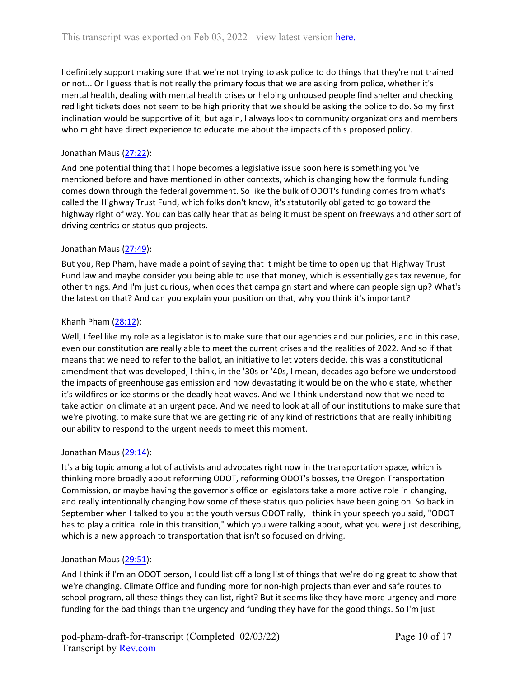I definitely support making sure that we're not trying to ask police to do things that they're not trained or not... Or I guess that is not really the primary focus that we are asking from police, whether it's mental health, dealing with mental health crises or helping unhoused people find shelter and checking red light tickets does not seem to be high priority that we should be asking the police to do. So my first inclination would be supportive of it, but again, I always look to community organizations and members who might have direct experience to educate me about the impacts of this proposed policy.

# Jonathan Maus ([27:22](https://www.rev.com/transcript-editor/Edit?token=HkXYht89dVBo_Dx0YcARzzR3X5WhtHAfgBcLe32k7SiMuS6KCnH3ZhZUD-x8yp03lJAoMHI4nR3RvASHnlwGRv-Qeuo&loadFrom=DocumentDeeplink&ts=1642.78)):

And one potential thing that I hope becomes a legislative issue soon here is something you've mentioned before and have mentioned in other contexts, which is changing how the formula funding comes down through the federal government. So like the bulk of ODOT's funding comes from what's called the Highway Trust Fund, which folks don't know, it's statutorily obligated to go toward the highway right of way. You can basically hear that as being it must be spent on freeways and other sort of driving centrics or status quo projects.

# Jonathan Maus ([27:49](https://www.rev.com/transcript-editor/Edit?token=q9kbPCi41ENEf6PkUsC0Q5B75byeMqZm8KjU7RtP2a0aSiEy2ms5h6Mpn9i-9kVLV2tlcLKqcVcigJNwEB9h7KMTymQ&loadFrom=DocumentDeeplink&ts=1669.97)):

But you, Rep Pham, have made a point of saying that it might be time to open up that Highway Trust Fund law and maybe consider you being able to use that money, which is essentially gas tax revenue, for other things. And I'm just curious, when does that campaign start and where can people sign up? What's the latest on that? And can you explain your position on that, why you think it's important?

# Khanh Pham [\(28:12](https://www.rev.com/transcript-editor/Edit?token=pkEYieBRsWVA5pdvJcdP6yKQidNOKcxGZR2iEsfFmKvKCkNhFCR8ovfib3B8REbwiv5DYEYy-gYpPbDQJZVok0-PifQ&loadFrom=DocumentDeeplink&ts=1692.7)):

Well, I feel like my role as a legislator is to make sure that our agencies and our policies, and in this case, even our constitution are really able to meet the current crises and the realities of 2022. And so if that means that we need to refer to the ballot, an initiative to let voters decide, this was a constitutional amendment that was developed, I think, in the '30s or '40s, I mean, decades ago before we understood the impacts of greenhouse gas emission and how devastating it would be on the whole state, whether it's wildfires or ice storms or the deadly heat waves. And we I think understand now that we need to take action on climate at an urgent pace. And we need to look at all of our institutions to make sure that we're pivoting, to make sure that we are getting rid of any kind of restrictions that are really inhibiting our ability to respond to the urgent needs to meet this moment.

# Jonathan Maus ([29:14](https://www.rev.com/transcript-editor/Edit?token=9GVWnlQ4p2PlbfwruKNTEWTU2-Rqc-AcTpg_5DASIveQUW3cRLcJPRxi1faq9NfA7XFCXw8hq9vMnGKpR8T8vAeFSA4&loadFrom=DocumentDeeplink&ts=1754.92)):

It's a big topic among a lot of activists and advocates right now in the transportation space, which is thinking more broadly about reforming ODOT, reforming ODOT's bosses, the Oregon Transportation Commission, or maybe having the governor's office or legislators take a more active role in changing, and really intentionally changing how some of these status quo policies have been going on. So back in September when I talked to you at the youth versus ODOT rally, I think in your speech you said, "ODOT has to play a critical role in this transition," which you were talking about, what you were just describing, which is a new approach to transportation that isn't so focused on driving.

# Jonathan Maus ([29:51](https://www.rev.com/transcript-editor/Edit?token=GfUvwOoL6afz3rQbIvjKPHJ5i3Rh6504heYdWVISw4otdVgz76P8XvHVlSlNfl_1jYHDbnPmxg80dZfBw-fSeM6yCws&loadFrom=DocumentDeeplink&ts=1791.28)):

And I think if I'm an ODOT person, I could list off a long list of things that we're doing great to show that we're changing. Climate Office and funding more for non-high projects than ever and safe routes to school program, all these things they can list, right? But it seems like they have more urgency and more funding for the bad things than the urgency and funding they have for the good things. So I'm just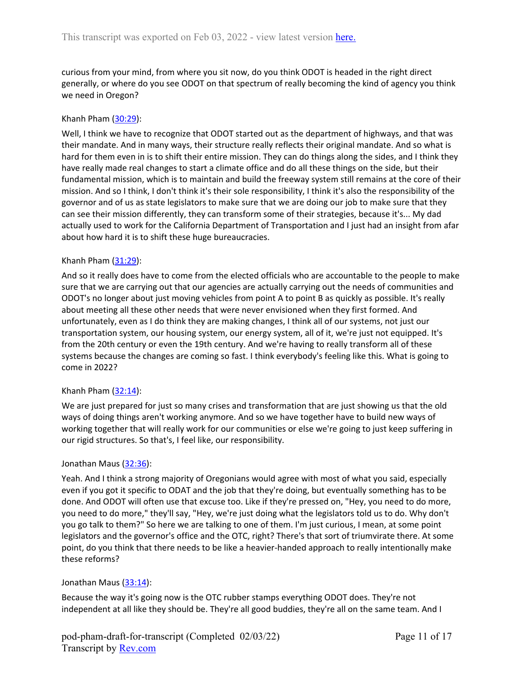curious from your mind, from where you sit now, do you think ODOT is headed in the right direct generally, or where do you see ODOT on that spectrum of really becoming the kind of agency you think we need in Oregon?

### Khanh Pham [\(30:29](https://www.rev.com/transcript-editor/Edit?token=iBIwhlWSTZGvMBq-s4SSNQwTcv87qRC2ZmHQOMd60KetNZgC2iigUSLdRBm0Dv0sqPUkddT8plb4t80wLFsJP8muKPg&loadFrom=DocumentDeeplink&ts=1829.4)):

Well, I think we have to recognize that ODOT started out as the department of highways, and that was their mandate. And in many ways, their structure really reflects their original mandate. And so what is hard for them even in is to shift their entire mission. They can do things along the sides, and I think they have really made real changes to start a climate office and do all these things on the side, but their fundamental mission, which is to maintain and build the freeway system still remains at the core of their mission. And so I think, I don't think it's their sole responsibility, I think it's also the responsibility of the governor and of us as state legislators to make sure that we are doing our job to make sure that they can see their mission differently, they can transform some of their strategies, because it's... My dad actually used to work for the California Department of Transportation and I just had an insight from afar about how hard it is to shift these huge bureaucracies.

#### Khanh Pham [\(31:29](https://www.rev.com/transcript-editor/Edit?token=bwK-kO97yjtSa-_PKL9vV3eD3YpcfI-V67y9E_mT_QqWYbMwbcHe06KT1UU5gG8RuqYp0o7j4NeiJbAHKr-bhRWWTH8&loadFrom=DocumentDeeplink&ts=1889.54)):

And so it really does have to come from the elected officials who are accountable to the people to make sure that we are carrying out that our agencies are actually carrying out the needs of communities and ODOT's no longer about just moving vehicles from point A to point B as quickly as possible. It's really about meeting all these other needs that were never envisioned when they first formed. And unfortunately, even as I do think they are making changes, I think all of our systems, not just our transportation system, our housing system, our energy system, all of it, we're just not equipped. It's from the 20th century or even the 19th century. And we're having to really transform all of these systems because the changes are coming so fast. I think everybody's feeling like this. What is going to come in 2022?

## Khanh Pham  $(32:14)$  $(32:14)$ :

We are just prepared for just so many crises and transformation that are just showing us that the old ways of doing things aren't working anymore. And so we have together have to build new ways of working together that will really work for our communities or else we're going to just keep suffering in our rigid structures. So that's, I feel like, our responsibility.

## Jonathan Maus ([32:36](https://www.rev.com/transcript-editor/Edit?token=_TMycA7M72NcHdUVDHKQQ8wjWsnW7AA_zBZg5MD-KlMxOdlCwk0p-1yY0d3yhOcXkW69_RgCWkPKGkgUQi2qKe3sOms&loadFrom=DocumentDeeplink&ts=1956.66)):

Yeah. And I think a strong majority of Oregonians would agree with most of what you said, especially even if you got it specific to ODAT and the job that they're doing, but eventually something has to be done. And ODOT will often use that excuse too. Like if they're pressed on, "Hey, you need to do more, you need to do more," they'll say, "Hey, we're just doing what the legislators told us to do. Why don't you go talk to them?" So here we are talking to one of them. I'm just curious, I mean, at some point legislators and the governor's office and the OTC, right? There's that sort of triumvirate there. At some point, do you think that there needs to be like a heavier-handed approach to really intentionally make these reforms?

## Jonathan Maus ([33:14](https://www.rev.com/transcript-editor/Edit?token=dzhC4qP0QQUNK_adpr1UAn3sTq9cDB7h5DldTQiyQkfpoKljxr-GzHU6wxRiRTdXFDncC-xT58jHGOU82GaCSApCpvM&loadFrom=DocumentDeeplink&ts=1994.6)):

Because the way it's going now is the OTC rubber stamps everything ODOT does. They're not independent at all like they should be. They're all good buddies, they're all on the same team. And I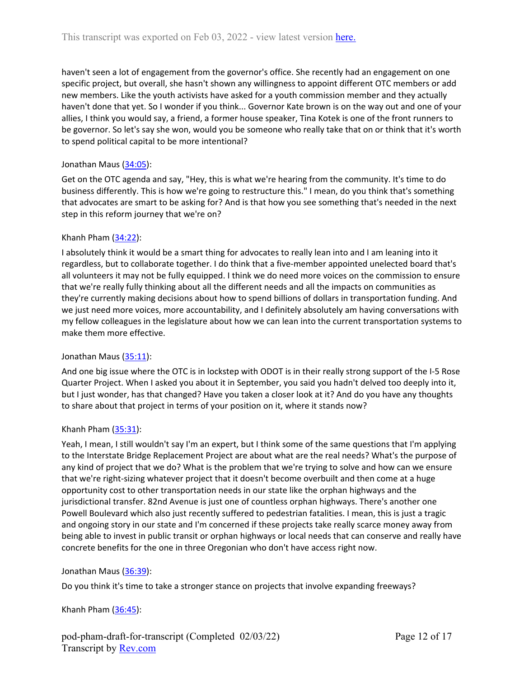haven't seen a lot of engagement from the governor's office. She recently had an engagement on one specific project, but overall, she hasn't shown any willingness to appoint different OTC members or add new members. Like the youth activists have asked for a youth commission member and they actually haven't done that yet. So I wonder if you think... Governor Kate brown is on the way out and one of your allies, I think you would say, a friend, a former house speaker, Tina Kotek is one of the front runners to be governor. So let's say she won, would you be someone who really take that on or think that it's worth to spend political capital to be more intentional?

# Jonathan Maus ([34:05](https://www.rev.com/transcript-editor/Edit?token=O-8e1SBXpTrMCClfUa5rKGXTC-G-SZ18WmvQ3CYpdM-LFiT4LcySPXDTX6fQQGgRjnjW3MAwCd2xCWqNmDdgv-6L0J4&loadFrom=DocumentDeeplink&ts=2045.1)):

Get on the OTC agenda and say, "Hey, this is what we're hearing from the community. It's time to do business differently. This is how we're going to restructure this." I mean, do you think that's something that advocates are smart to be asking for? And is that how you see something that's needed in the next step in this reform journey that we're on?

# Khanh Pham  $(34:22)$  $(34:22)$ :

I absolutely think it would be a smart thing for advocates to really lean into and I am leaning into it regardless, but to collaborate together. I do think that a five-member appointed unelected board that's all volunteers it may not be fully equipped. I think we do need more voices on the commission to ensure that we're really fully thinking about all the different needs and all the impacts on communities as they're currently making decisions about how to spend billions of dollars in transportation funding. And we just need more voices, more accountability, and I definitely absolutely am having conversations with my fellow colleagues in the legislature about how we can lean into the current transportation systems to make them more effective.

# Jonathan Maus ([35:11](https://www.rev.com/transcript-editor/Edit?token=MV8GjDYpAdqfvp43_XaEeFu-sGiKVwslvUmSI638Uy-fMg9zSxCl1yW9ySF52Qg4Rcj8TvrguqDrGlusrwkVlcTcQRM&loadFrom=DocumentDeeplink&ts=2111.47)):

And one big issue where the OTC is in lockstep with ODOT is in their really strong support of the I-5 Rose Quarter Project. When I asked you about it in September, you said you hadn't delved too deeply into it, but I just wonder, has that changed? Have you taken a closer look at it? And do you have any thoughts to share about that project in terms of your position on it, where it stands now?

# Khanh Pham [\(35:31](https://www.rev.com/transcript-editor/Edit?token=VkNO5KN1B8uu-djmWxunjOmJ6kPOOfJyuLmGih60DBiqZvicH1u6OjBRj3AR0JNYe69uGCgpFJpu-mKWQtS6okJuXaY&loadFrom=DocumentDeeplink&ts=2131.6)):

Yeah, I mean, I still wouldn't say I'm an expert, but I think some of the same questions that I'm applying to the Interstate Bridge Replacement Project are about what are the real needs? What's the purpose of any kind of project that we do? What is the problem that we're trying to solve and how can we ensure that we're right-sizing whatever project that it doesn't become overbuilt and then come at a huge opportunity cost to other transportation needs in our state like the orphan highways and the jurisdictional transfer. 82nd Avenue is just one of countless orphan highways. There's another one Powell Boulevard which also just recently suffered to pedestrian fatalities. I mean, this is just a tragic and ongoing story in our state and I'm concerned if these projects take really scarce money away from being able to invest in public transit or orphan highways or local needs that can conserve and really have concrete benefits for the one in three Oregonian who don't have access right now.

# Jonathan Maus ([36:39](https://www.rev.com/transcript-editor/Edit?token=fbStHTlZtCPijHpm7STQO4LAlUkII6u9_kBPhxYsz0KwAm8Bnx3oVpJrGTMPLm1CA8my_FWRx-J_8Ht-qb_pfDQp6gI&loadFrom=DocumentDeeplink&ts=2199.57)):

Do you think it's time to take a stronger stance on projects that involve expanding freeways?

# Khanh Pham  $(36:45)$  $(36:45)$ :

pod-pham-draft-for-transcript (Completed 02/03/22) Transcript by [Rev.com](https://www.rev.com/)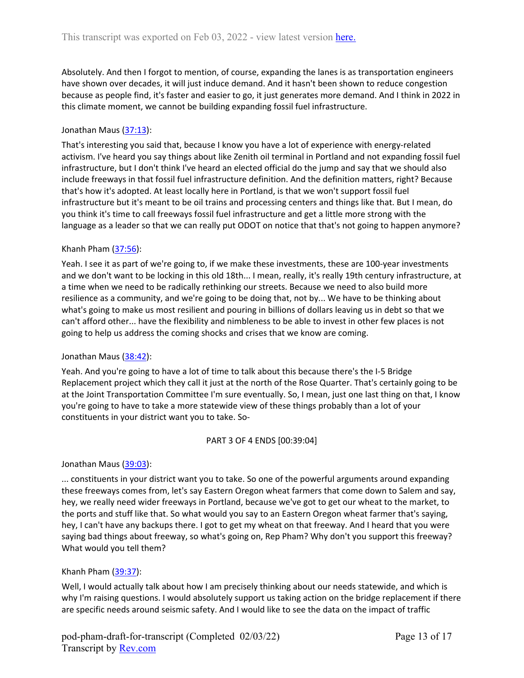Absolutely. And then I forgot to mention, of course, expanding the lanes is as transportation engineers have shown over decades, it will just induce demand. And it hasn't been shown to reduce congestion because as people find, it's faster and easier to go, it just generates more demand. And I think in 2022 in this climate moment, we cannot be building expanding fossil fuel infrastructure.

# Jonathan Maus ([37:13](https://www.rev.com/transcript-editor/Edit?token=K-IBDubLjKrDgZWTLOvk1LFS7EJRh5eZs3XSMss-oh4QTwE65jd9HfxxGJoJpaXfIacvngyEVZojlQJ19ttHNthouTI&loadFrom=DocumentDeeplink&ts=2233.71)):

That's interesting you said that, because I know you have a lot of experience with energy-related activism. I've heard you say things about like Zenith oil terminal in Portland and not expanding fossil fuel infrastructure, but I don't think I've heard an elected official do the jump and say that we should also include freeways in that fossil fuel infrastructure definition. And the definition matters, right? Because that's how it's adopted. At least locally here in Portland, is that we won't support fossil fuel infrastructure but it's meant to be oil trains and processing centers and things like that. But I mean, do you think it's time to call freeways fossil fuel infrastructure and get a little more strong with the language as a leader so that we can really put ODOT on notice that that's not going to happen anymore?

# Khanh Pham  $(37:56)$  $(37:56)$ :

Yeah. I see it as part of we're going to, if we make these investments, these are 100-year investments and we don't want to be locking in this old 18th... I mean, really, it's really 19th century infrastructure, at a time when we need to be radically rethinking our streets. Because we need to also build more resilience as a community, and we're going to be doing that, not by... We have to be thinking about what's going to make us most resilient and pouring in billions of dollars leaving us in debt so that we can't afford other... have the flexibility and nimbleness to be able to invest in other few places is not going to help us address the coming shocks and crises that we know are coming.

## Jonathan Maus ([38:42](https://www.rev.com/transcript-editor/Edit?token=K1yrsMHAqzftbur5DPh5hBb8fe3lfLdz9_Vt2uobZtsZKNgkV-KZCupDtByxjjVWT3PSsp3OgnXO1YsSbPJm4EDzzBM&loadFrom=DocumentDeeplink&ts=2322.26)):

Yeah. And you're going to have a lot of time to talk about this because there's the I-5 Bridge Replacement project which they call it just at the north of the Rose Quarter. That's certainly going to be at the Joint Transportation Committee I'm sure eventually. So, I mean, just one last thing on that, I know you're going to have to take a more statewide view of these things probably than a lot of your constituents in your district want you to take. So-

## PART 3 OF 4 ENDS [00:39:04]

Jonathan Maus ([39:03](https://www.rev.com/transcript-editor/Edit?token=t7LNj6A576hg2V-wxvjNZUMptMGRsfcTdJIfZiJVk4X-JZic5-9znv9Tk-IFKMO_pXNagLP_IEyF_JtOksyE1uyPJQI&loadFrom=DocumentDeeplink&ts=2343.13)):

... constituents in your district want you to take. So one of the powerful arguments around expanding these freeways comes from, let's say Eastern Oregon wheat farmers that come down to Salem and say, hey, we really need wider freeways in Portland, because we've got to get our wheat to the market, to the ports and stuff like that. So what would you say to an Eastern Oregon wheat farmer that's saying, hey, I can't have any backups there. I got to get my wheat on that freeway. And I heard that you were saying bad things about freeway, so what's going on, Rep Pham? Why don't you support this freeway? What would you tell them?

# Khanh Pham [\(39:37](https://www.rev.com/transcript-editor/Edit?token=afrHDB1C49ktU46ED5f1j3MKsozSpR0EXF2R0vk1u7iT6PkjFuzsaKwiPI1UDOHUlKI6PN4luKwVyxwwfQW02JiZ2xY&loadFrom=DocumentDeeplink&ts=2377.99)):

Well, I would actually talk about how I am precisely thinking about our needs statewide, and which is why I'm raising questions. I would absolutely support us taking action on the bridge replacement if there are specific needs around seismic safety. And I would like to see the data on the impact of traffic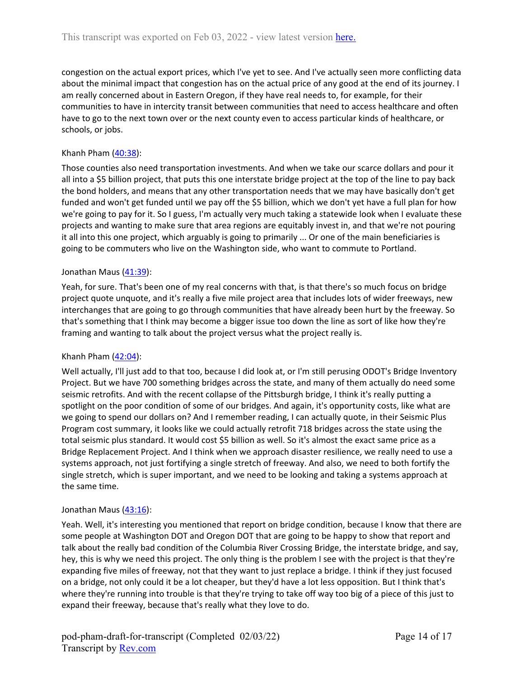congestion on the actual export prices, which I've yet to see. And I've actually seen more conflicting data about the minimal impact that congestion has on the actual price of any good at the end of its journey. I am really concerned about in Eastern Oregon, if they have real needs to, for example, for their communities to have in intercity transit between communities that need to access healthcare and often have to go to the next town over or the next county even to access particular kinds of healthcare, or schools, or jobs.

## Khanh Pham [\(40:38](https://www.rev.com/transcript-editor/Edit?token=G8-8RKOCZDfFWUzNBKxQAz-4rIVyqxVxFF067dS23tEkqf4n-u_yGWMxuY1PUUiIVxScUjEsPDkqgLUOJ6Qz-7r3yfQ&loadFrom=DocumentDeeplink&ts=2438.03)):

Those counties also need transportation investments. And when we take our scarce dollars and pour it all into a \$5 billion project, that puts this one interstate bridge project at the top of the line to pay back the bond holders, and means that any other transportation needs that we may have basically don't get funded and won't get funded until we pay off the \$5 billion, which we don't yet have a full plan for how we're going to pay for it. So I guess, I'm actually very much taking a statewide look when I evaluate these projects and wanting to make sure that area regions are equitably invest in, and that we're not pouring it all into this one project, which arguably is going to primarily ... Or one of the main beneficiaries is going to be commuters who live on the Washington side, who want to commute to Portland.

## Jonathan Maus ([41:39](https://www.rev.com/transcript-editor/Edit?token=3VMEb220n_uxdGDWv4g5IoaxQgxej1yB6Makn7Y_ZAq8WF3vQ3UAhk4gL9GjxfxMrcv9G5LkpQ1j9sFNIbsYCdbRNlA&loadFrom=DocumentDeeplink&ts=2499.69)):

Yeah, for sure. That's been one of my real concerns with that, is that there's so much focus on bridge project quote unquote, and it's really a five mile project area that includes lots of wider freeways, new interchanges that are going to go through communities that have already been hurt by the freeway. So that's something that I think may become a bigger issue too down the line as sort of like how they're framing and wanting to talk about the project versus what the project really is.

## Khanh Pham  $(42:04)$  $(42:04)$ :

Well actually, I'll just add to that too, because I did look at, or I'm still perusing ODOT's Bridge Inventory Project. But we have 700 something bridges across the state, and many of them actually do need some seismic retrofits. And with the recent collapse of the Pittsburgh bridge, I think it's really putting a spotlight on the poor condition of some of our bridges. And again, it's opportunity costs, like what are we going to spend our dollars on? And I remember reading, I can actually quote, in their Seismic Plus Program cost summary, it looks like we could actually retrofit 718 bridges across the state using the total seismic plus standard. It would cost \$5 billion as well. So it's almost the exact same price as a Bridge Replacement Project. And I think when we approach disaster resilience, we really need to use a systems approach, not just fortifying a single stretch of freeway. And also, we need to both fortify the single stretch, which is super important, and we need to be looking and taking a systems approach at the same time.

## Jonathan Maus ([43:16](https://www.rev.com/transcript-editor/Edit?token=RCSG7WESzjAO_TwQptZ2ahY8opcbw6-7FEpZOJuNNkusEBljN1-f-OQlcL6Tl-MqHsPWSwD8GjuSuIZQ81EATqJbda0&loadFrom=DocumentDeeplink&ts=2596.56)):

Yeah. Well, it's interesting you mentioned that report on bridge condition, because I know that there are some people at Washington DOT and Oregon DOT that are going to be happy to show that report and talk about the really bad condition of the Columbia River Crossing Bridge, the interstate bridge, and say, hey, this is why we need this project. The only thing is the problem I see with the project is that they're expanding five miles of freeway, not that they want to just replace a bridge. I think if they just focused on a bridge, not only could it be a lot cheaper, but they'd have a lot less opposition. But I think that's where they're running into trouble is that they're trying to take off way too big of a piece of this just to expand their freeway, because that's really what they love to do.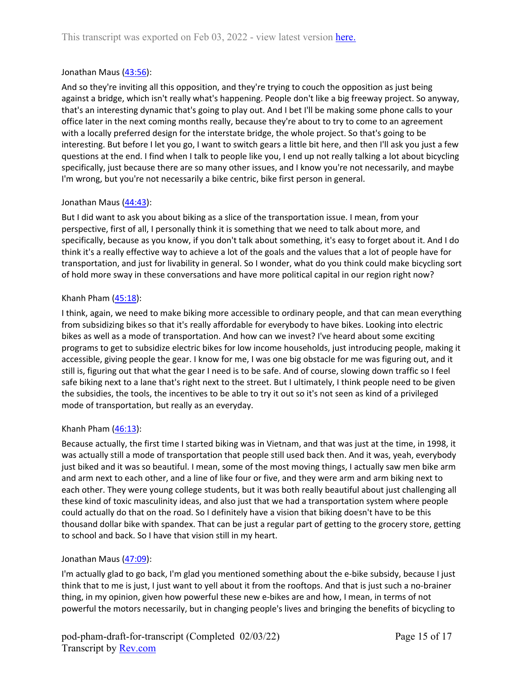## Jonathan Maus ([43:56](https://www.rev.com/transcript-editor/Edit?token=IlNVtSleB_5X496qxfyvCCQU0NaKsX1LhMmVIvmBs1Ac4XoVp7VtCfyM1KiRm1xI7burPJz_eaKBeCdxp1MY4ukZpgM&loadFrom=DocumentDeeplink&ts=2636.26)):

And so they're inviting all this opposition, and they're trying to couch the opposition as just being against a bridge, which isn't really what's happening. People don't like a big freeway project. So anyway, that's an interesting dynamic that's going to play out. And I bet I'll be making some phone calls to your office later in the next coming months really, because they're about to try to come to an agreement with a locally preferred design for the interstate bridge, the whole project. So that's going to be interesting. But before I let you go, I want to switch gears a little bit here, and then I'll ask you just a few questions at the end. I find when I talk to people like you, I end up not really talking a lot about bicycling specifically, just because there are so many other issues, and I know you're not necessarily, and maybe I'm wrong, but you're not necessarily a bike centric, bike first person in general.

## Jonathan Maus ([44:43](https://www.rev.com/transcript-editor/Edit?token=W0ask6QaJqImWDy0E2SoIqPQwPwP-sfGEgpWJ8RsNKRIKlE4CxhTdgN-QeVFbdgoOvgu4Vg7lbJ895wm5-dk7DfMBA4&loadFrom=DocumentDeeplink&ts=2683.68)):

But I did want to ask you about biking as a slice of the transportation issue. I mean, from your perspective, first of all, I personally think it is something that we need to talk about more, and specifically, because as you know, if you don't talk about something, it's easy to forget about it. And I do think it's a really effective way to achieve a lot of the goals and the values that a lot of people have for transportation, and just for livability in general. So I wonder, what do you think could make bicycling sort of hold more sway in these conversations and have more political capital in our region right now?

## Khanh Pham  $(45:18)$  $(45:18)$ :

I think, again, we need to make biking more accessible to ordinary people, and that can mean everything from subsidizing bikes so that it's really affordable for everybody to have bikes. Looking into electric bikes as well as a mode of transportation. And how can we invest? I've heard about some exciting programs to get to subsidize electric bikes for low income households, just introducing people, making it accessible, giving people the gear. I know for me, I was one big obstacle for me was figuring out, and it still is, figuring out that what the gear I need is to be safe. And of course, slowing down traffic so I feel safe biking next to a lane that's right next to the street. But I ultimately, I think people need to be given the subsidies, the tools, the incentives to be able to try it out so it's not seen as kind of a privileged mode of transportation, but really as an everyday.

## Khanh Pham  $(46:13)$  $(46:13)$ :

Because actually, the first time I started biking was in Vietnam, and that was just at the time, in 1998, it was actually still a mode of transportation that people still used back then. And it was, yeah, everybody just biked and it was so beautiful. I mean, some of the most moving things, I actually saw men bike arm and arm next to each other, and a line of like four or five, and they were arm and arm biking next to each other. They were young college students, but it was both really beautiful about just challenging all these kind of toxic masculinity ideas, and also just that we had a transportation system where people could actually do that on the road. So I definitely have a vision that biking doesn't have to be this thousand dollar bike with spandex. That can be just a regular part of getting to the grocery store, getting to school and back. So I have that vision still in my heart.

## Jonathan Maus ([47:09](https://www.rev.com/transcript-editor/Edit?token=AIiK98qkJDMSfosBfI5AyvDCewXDCE5VOiIDIk98_deGRe1V89l-Prla5QqW_MSWBWXG0NRn9mNayfLnbWzgyPIMKPg&loadFrom=DocumentDeeplink&ts=2829.82)):

I'm actually glad to go back, I'm glad you mentioned something about the e-bike subsidy, because I just think that to me is just, I just want to yell about it from the rooftops. And that is just such a no-brainer thing, in my opinion, given how powerful these new e-bikes are and how, I mean, in terms of not powerful the motors necessarily, but in changing people's lives and bringing the benefits of bicycling to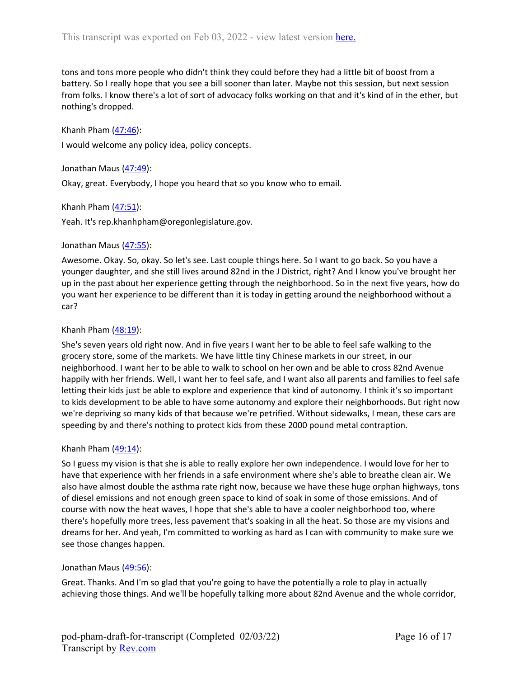tons and tons more people who didn't think they could before they had a little bit of boost from a battery. So I really hope that you see a bill sooner than later. Maybe not this session, but next session from folks. I know there's a lot of sort of advocacy folks working on that and it's kind of in the ether, but nothing's dropped.

Khanh Pham [\(47:46](https://www.rev.com/transcript-editor/Edit?token=iabHXbMd-ucVwg6VRfk8PNMJvE17ZTAw5cULpOQgHz-nOSAhpOeij0CmzyDx6DIf6XjL7PyrnKb1wV4CfrUTut-us-w&loadFrom=DocumentDeeplink&ts=2866.51)):

I would welcome any policy idea, policy concepts.

Jonathan Maus ([47:49](https://www.rev.com/transcript-editor/Edit?token=z5KRQn9u4hEH1UEDcfnFYZNfjZoOCCu9eXcaVPiRh-Biyofyqa8fz4wVC8JomtL0srk54lSJcED0sKhsAUUHCN89k2Q&loadFrom=DocumentDeeplink&ts=2869.88)):

Okay, great. Everybody, I hope you heard that so you know who to email.

Khanh Pham  $(47:51)$  $(47:51)$ :

Yeah. It's rep.khanhpham@oregonlegislature.gov.

#### Jonathan Maus ([47:55](https://www.rev.com/transcript-editor/Edit?token=JwejE5Q-82Wtt0XYuKy11KHSwIfCpnO2yCIIZNWNoon7syL74JpH4-2KNaY9o9sgZHeBcv98VfttROpBudwcHWueTIw&loadFrom=DocumentDeeplink&ts=2875.18)):

Awesome. Okay. So, okay. So let's see. Last couple things here. So I want to go back. So you have a younger daughter, and she still lives around 82nd in the J District, right? And I know you've brought her up in the past about her experience getting through the neighborhood. So in the next five years, how do you want her experience to be different than it is today in getting around the neighborhood without a car?

## Khanh Pham [\(48:19](https://www.rev.com/transcript-editor/Edit?token=IvS7yO_8bJasOeVQO9iLMsiYjOP0t_APyXGknonIyySZqM4M2EgNqyxKtHqgKNvQwJDOz3DiFbTDPAh2zuBtyrTULKs&loadFrom=DocumentDeeplink&ts=2899.68)):

She's seven years old right now. And in five years I want her to be able to feel safe walking to the grocery store, some of the markets. We have little tiny Chinese markets in our street, in our neighborhood. I want her to be able to walk to school on her own and be able to cross 82nd Avenue happily with her friends. Well, I want her to feel safe, and I want also all parents and families to feel safe letting their kids just be able to explore and experience that kind of autonomy. I think it's so important to kids development to be able to have some autonomy and explore their neighborhoods. But right now we're depriving so many kids of that because we're petrified. Without sidewalks, I mean, these cars are speeding by and there's nothing to protect kids from these 2000 pound metal contraption.

#### Khanh Pham  $(49:14)$  $(49:14)$ :

So I guess my vision is that she is able to really explore her own independence. I would love for her to have that experience with her friends in a safe environment where she's able to breathe clean air. We also have almost double the asthma rate right now, because we have these huge orphan highways, tons of diesel emissions and not enough green space to kind of soak in some of those emissions. And of course with now the heat waves, I hope that she's able to have a cooler neighborhood too, where there's hopefully more trees, less pavement that's soaking in all the heat. So those are my visions and dreams for her. And yeah, I'm committed to working as hard as I can with community to make sure we see those changes happen.

## Jonathan Maus ([49:56](https://www.rev.com/transcript-editor/Edit?token=L4v3CHCJzPBA_YfBi-3TmdKlQPxjWN6TFIychqO-3kWwUWJtXcvE-PcdrGHoY3WU02jB0M1okFArtT6L19RoxEJH5l8&loadFrom=DocumentDeeplink&ts=2996.95)):

Great. Thanks. And I'm so glad that you're going to have the potentially a role to play in actually achieving those things. And we'll be hopefully talking more about 82nd Avenue and the whole corridor,